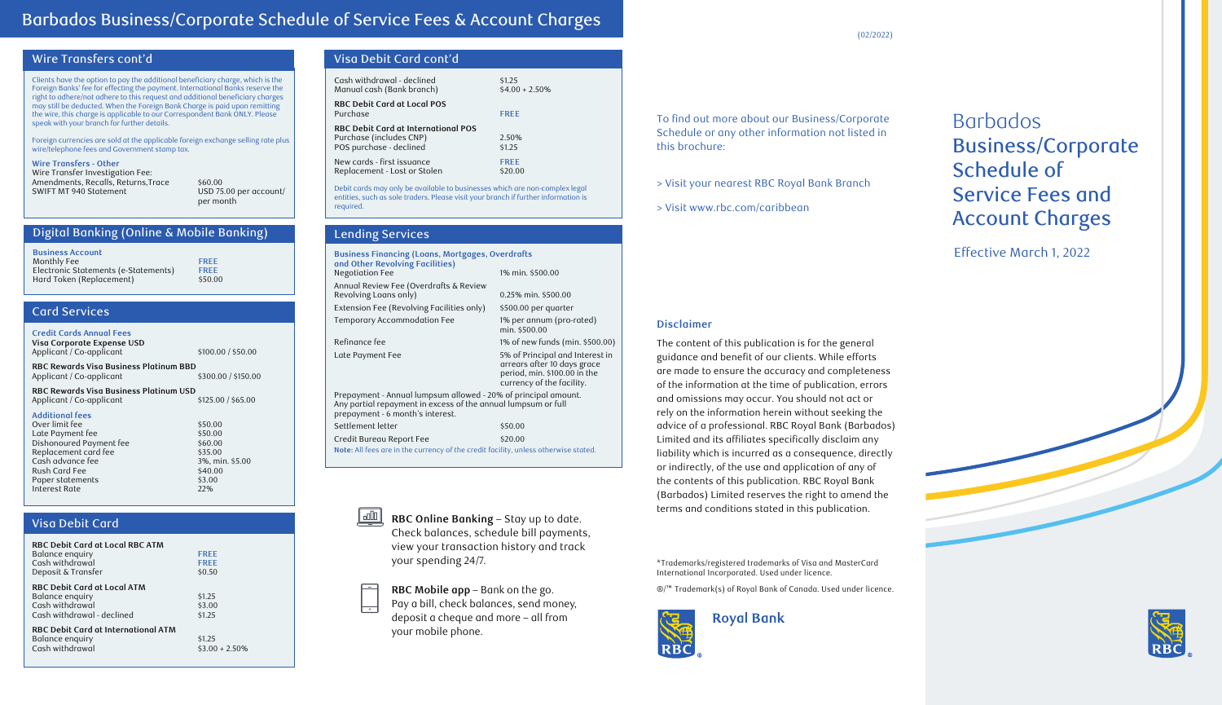# Barbados Business/Corporate Schedule of Service Fees & Account Charges

## Wire Transfers cont'd

Clients have the option to pay the additional beneficiary charge, which is the Foreign Banks' fee for effecting the payment. International Banks reserve the right to adhere/not adhere to this request and additional beneficiary charges may still be deducted. When the Foreign Bank Charge is paid upon remitting the wire, this charge is applicable to our Correspondent Bank ONLY. Please speak with your branch for further details.

Foreign currencies are sold at the applicable foreign exchange selling rate plus wire/telephone fees and Government stamp tax.

#### **Wire Transfers - Other** Wire Transfer Investigation Fee:

Amendments, Recalls, Returns, Trace \$60.00 SWIFT MT 940 Statement USD 75.00 per account/ per month

## Digital Banking (Online & Mobile Banking)

| <b>Business Account</b>              |             |
|--------------------------------------|-------------|
| Monthly Fee                          | <b>FREE</b> |
| Electronic Statements (e-Statements) | <b>FREE</b> |
| Hard Token (Replacement)             | \$50.00     |

## Card Services

### **Credit Cards Annual Fees**

**Visa Corporate Expense USD** Applicant / Co-applicant  $$100.00 / $50.00$ 

**RBC Rewards Visa Business Platinum BBD** Applicant / Co-applicant

**RBC Rewards Visa Business Platinum USD**

Applicant / Co-applicant

### **Additional fees**

| Over limit fee          | \$50.00         |
|-------------------------|-----------------|
| Late Payment fee        | \$50.00         |
| Dishonoured Payment fee | \$60.00         |
| Replacement card fee    | \$35.00         |
| Cash advance fee        | 3%, min. \$5.00 |
| Rush Card Fee           | \$40.00         |
| Paper statements        | \$3.00          |
| Interest Rate           | 22%             |
|                         |                 |

## Visa Debit Card

| <b>RBC Debit Card at Local RBC ATM</b><br>Balance enquiry<br>Cash withdrawal<br>Deposit & Transfer     | <b>FREE</b><br><b>FREE</b><br>\$0.50 |
|--------------------------------------------------------------------------------------------------------|--------------------------------------|
| <b>RBC Debit Card at Local ATM</b><br>Balance enquiry<br>Cash withdrawal<br>Cash withdrawal - declined | \$1.25<br>\$3.00<br>\$1.25           |
| <b>RBC Debit Card at International ATM</b><br>Balance enquiry<br>Cash withdrawal                       | \$1.25<br>$$3.00 + 2.50\%$           |

## Visa Debit Card cont'd

| Cash withdrawal - declined<br>Manual cash (Bank branch)                                   | \$1.25<br>$$4.00 + 2.50\%$ |  |
|-------------------------------------------------------------------------------------------|----------------------------|--|
| <b>RBC Debit Card at Local POS</b><br>Purchase                                            | <b>FREE</b>                |  |
| RBC Debit Card at International POS<br>Purchase (includes CNP)<br>POS purchase - declined | 2.50%<br>\$1.25            |  |
| New cards - first issuance<br>Replacement - Lost or Stolen                                | <b>FREE</b><br>\$20.00     |  |
|                                                                                           |                            |  |

Debit cards may only be available to businesses which are non-complex legal entities, such as sole traders. Please visit your branch if further information is required.

## Lending Services

| <b>Business Financing (Loans, Mortgages, Overdrafts</b><br>and Other Revolving Facilities)<br><b>Negotiation Fee</b><br>1% min. \$500.00                            |                                                                                     |                                                                                                                             |
|---------------------------------------------------------------------------------------------------------------------------------------------------------------------|-------------------------------------------------------------------------------------|-----------------------------------------------------------------------------------------------------------------------------|
|                                                                                                                                                                     | Annual Review Fee (Overdrafts & Review<br>Revolving Loans only)                     | $0.25\%$ min. \$500.00                                                                                                      |
|                                                                                                                                                                     | Extension Fee (Revolving Facilities only)                                           | \$500.00 per quarter                                                                                                        |
|                                                                                                                                                                     | Temporary Accommodation Fee                                                         | 1% per annum (pro-rated)<br>min. \$500.00                                                                                   |
|                                                                                                                                                                     | Refinance fee                                                                       | 1% of new funds (min. \$500.00)                                                                                             |
|                                                                                                                                                                     | Late Payment Fee                                                                    | 5% of Principal and Interest in<br>arrears after 10 days grace<br>period, min. \$100.00 in the<br>currency of the facility. |
| Prepayment - Annual lumpsum allowed - 20% of principal amount.<br>Any partial repayment in excess of the annual lumpsum or full<br>prepayment - 6 month's interest. |                                                                                     |                                                                                                                             |
|                                                                                                                                                                     | Settlement letter                                                                   | \$50.00                                                                                                                     |
|                                                                                                                                                                     | Credit Bureau Report Fee                                                            | \$20.00                                                                                                                     |
|                                                                                                                                                                     | Note: All fees are in the currency of the credit facility, unless otherwise stated. |                                                                                                                             |
|                                                                                                                                                                     |                                                                                     |                                                                                                                             |

<u>| ulu |</u> **RBC Online Banking** – Stay up to date. Check balances, schedule bill payments, view your transaction history and track your spending 24/7.

**RBC Mobile app** – Bank on the go.

Pay a bill, check balances, send money, deposit a cheque and more – all from your mobile phone.

To find out more about our Business/Corporate Schedule or any other information not listed in this brochure:

> Visit your nearest RBC Royal Bank Branch

> Visit www.rbc.com/caribbean

# Barbados Business/Corporate Schedule of Service Fees and Account Charges

Effective March 1, 2022

## **Disclaimer**

The content of this publication is for the general guidance and benefit of our clients. While efforts are made to ensure the accuracy and completeness of the information at the time of publication, errors and omissions may occur. You should not act or rely on the information herein without seeking the advice of a professional. RBC Royal Bank (Barbados) Limited and its affiliates specifically disclaim any liability which is incurred as a consequence, directly or indirectly, of the use and application of any of the contents of this publication. RBC Royal Bank (Barbados) Limited reserves the right to amend the terms and conditions stated in this publication.

\*Trademarks/registered trademarks of Visa and MasterCard International Incorporated. Used under licence.

®/™ Trademark(s) of Royal Bank of Canada. Used under licence.







(02/2022)